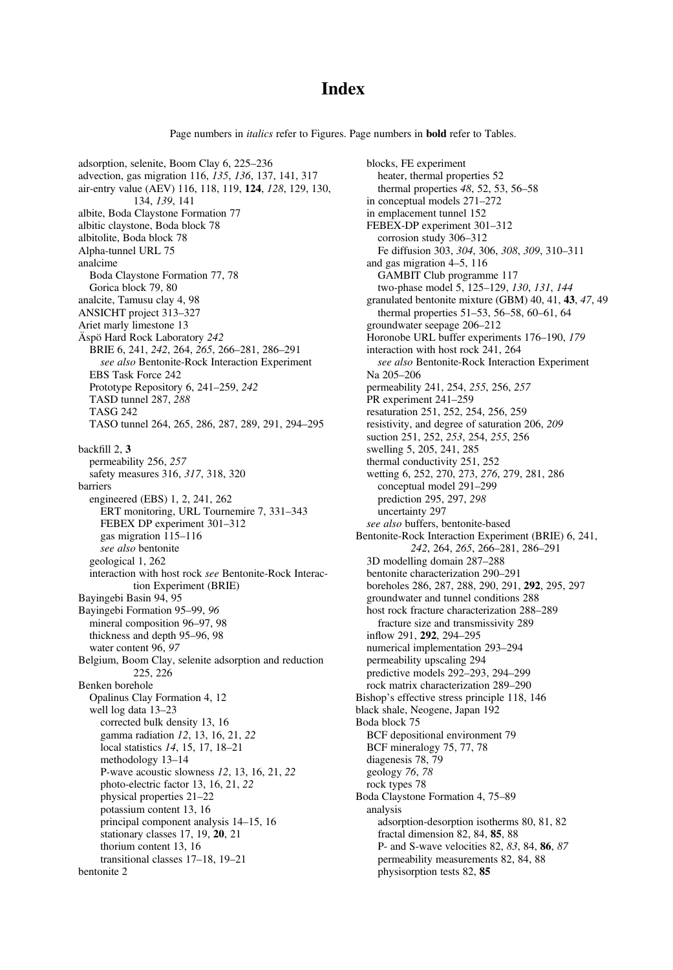## **Index**

Page numbers in *italics* refer to Figures. Page numbers in **bold** refer to Tables.

adsorption, selenite, Boom Clay 6, 225–236 advection, gas migration 116, 135, 136, 137, 141, 317 air-entry value (AEV) 116, 118, 119, 124, 128, 129, 130, 134, 139, 141 albite, Boda Claystone Formation 77 albitic claystone, Boda block 78 albitolite, Boda block 78 Alpha-tunnel URL 75 analcime Boda Claystone Formation 77, 78 Gorica block 79, 80 analcite, Tamusu clay 4, 98 ANSICHT project 313–327 Ariet marly limestone 13 Äspö Hard Rock Laboratory 242 BRIE 6, 241, 242, 264, 265, 266–281, 286–291 see also Bentonite-Rock Interaction Experiment EBS Task Force 242 Prototype Repository 6, 241–259, 242 TASD tunnel 287, 288 TASG 242 TASO tunnel 264, 265, 286, 287, 289, 291, 294–295 backfill 2, 3 permeability 256, 257 safety measures 316, 317, 318, 320 barriers engineered (EBS) 1, 2, 241, 262 ERT monitoring, URL Tournemire 7, 331–343 FEBEX DP experiment 301–312 gas migration 115–116 see also bentonite geological 1, 262 interaction with host rock see Bentonite-Rock Interaction Experiment (BRIE) Bayingebi Basin 94, 95 Bayingebi Formation 95–99, 96 mineral composition 96–97, 98 thickness and depth 95–96, 98 water content 96, 97 Belgium, Boom Clay, selenite adsorption and reduction 225, 226 Benken borehole Opalinus Clay Formation 4, 12 well log data 13–23 corrected bulk density 13, 16 gamma radiation 12, 13, 16, 21, 22 local statistics 14, 15, 17, 18–21 methodology 13–14 P-wave acoustic slowness 12, 13, 16, 21, 22 photo-electric factor 13, 16, 21, 22 physical properties 21–22 potassium content 13, 16 principal component analysis 14–15, 16 stationary classes 17, 19, 20, 21 thorium content 13, 16 transitional classes 17–18, 19–21 bentonite 2

blocks, FE experiment heater, thermal properties 52 thermal properties 48, 52, 53, 56–58 in conceptual models 271–272 in emplacement tunnel 152 FEBEX-DP experiment 301–312 corrosion study 306–312 Fe diffusion 303, 304, 306, 308, 309, 310–311 and gas migration 4–5, 116 GAMBIT Club programme 117 two-phase model 5, 125–129, 130, 131, 144 granulated bentonite mixture (GBM) 40, 41, 43, 47, 49 thermal properties 51–53, 56–58, 60–61, 64 groundwater seepage 206–212 Horonobe URL buffer experiments 176–190, 179 interaction with host rock 241, 264 see also Bentonite-Rock Interaction Experiment Na 205–206 permeability 241, 254, 255, 256, 257 PR experiment 241–259 resaturation 251, 252, 254, 256, 259 resistivity, and degree of saturation 206, 209 suction 251, 252, 253, 254, 255, 256 swelling 5, 205, 241, 285 thermal conductivity 251, 252 wetting 6, 252, 270, 273, 276, 279, 281, 286 conceptual model 291–299 prediction 295, 297, 298 uncertainty 297 see also buffers, bentonite-based Bentonite-Rock Interaction Experiment (BRIE) 6, 241, 242, 264, 265, 266–281, 286–291 3D modelling domain 287–288 bentonite characterization 290–291 boreholes 286, 287, 288, 290, 291, 292, 295, 297 groundwater and tunnel conditions 288 host rock fracture characterization 288–289 fracture size and transmissivity 289 inflow 291, 292, 294–295 numerical implementation 293–294 permeability upscaling 294 predictive models 292–293, 294–299 rock matrix characterization 289–290 Bishop's effective stress principle 118, 146 black shale, Neogene, Japan 192 Boda block 75 BCF depositional environment 79 BCF mineralogy 75, 77, 78 diagenesis 78, 79 geology 76, 78 rock types 78 Boda Claystone Formation 4, 75–89 analysis adsorption-desorption isotherms 80, 81, 82 fractal dimension 82, 84, 85, 88 P- and S-wave velocities 82, 83, 84, 86, 87 permeability measurements 82, 84, 88 physisorption tests 82, 85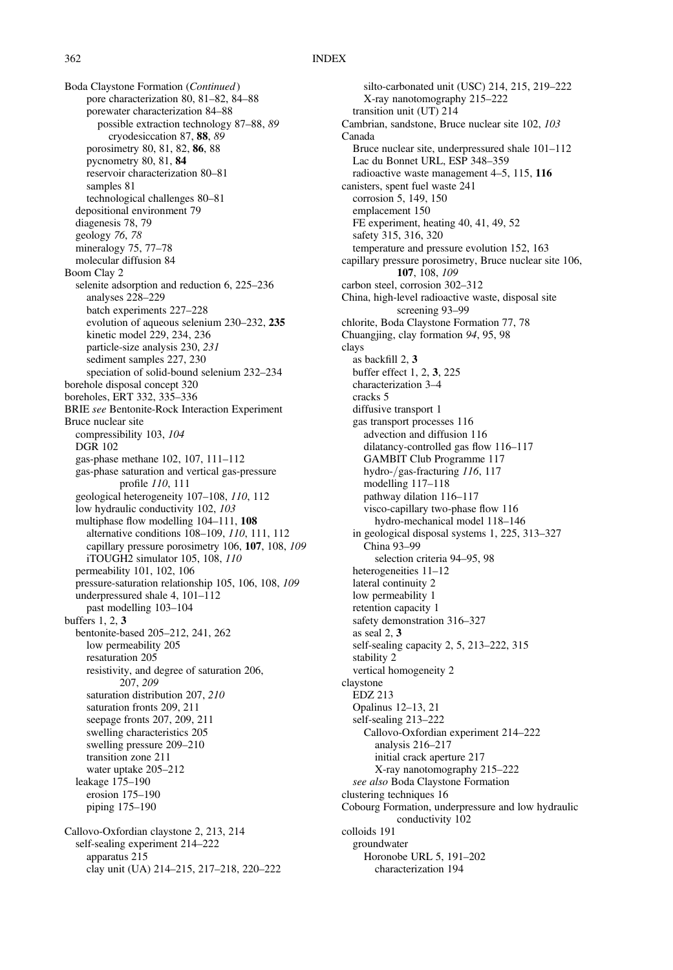Boda Claystone Formation (Continued) pore characterization 80, 81–82, 84–88 porewater characterization 84–88 possible extraction technology 87–88, 89 cryodesiccation 87, 88, 89 porosimetry 80, 81, 82, 86, 88 pycnometry 80, 81, 84 reservoir characterization 80–81 samples 81 technological challenges 80–81 depositional environment 79 diagenesis 78, 79 geology 76, 78 mineralogy 75, 77–78 molecular diffusion 84 Boom Clay 2 selenite adsorption and reduction 6, 225–236 analyses 228–229 batch experiments 227–228 evolution of aqueous selenium 230–232, 235 kinetic model 229, 234, 236 particle-size analysis 230, 231 sediment samples 227, 230 speciation of solid-bound selenium 232–234 borehole disposal concept 320 boreholes, ERT 332, 335–336 BRIE see Bentonite-Rock Interaction Experiment Bruce nuclear site compressibility 103, 104 DGR 102 gas-phase methane 102, 107, 111–112 gas-phase saturation and vertical gas-pressure profile 110, 111 geological heterogeneity 107–108, 110, 112 low hydraulic conductivity 102, 103 multiphase flow modelling 104–111, 108 alternative conditions 108–109, 110, 111, 112 capillary pressure porosimetry 106, 107, 108, 109 iTOUGH2 simulator 105, 108, 110 permeability 101, 102, 106 pressure-saturation relationship 105, 106, 108, 109 underpressured shale 4, 101–112 past modelling 103–104 buffers 1, 2, 3 bentonite-based 205–212, 241, 262 low permeability 205 resaturation 205 resistivity, and degree of saturation 206, 207, 209 saturation distribution 207, 210 saturation fronts 209, 211 seepage fronts 207, 209, 211 swelling characteristics 205 swelling pressure 209–210 transition zone 211 water uptake 205–212 leakage 175–190 erosion 175–190 piping 175–190 Callovo-Oxfordian claystone 2, 213, 214 self-sealing experiment 214–222 apparatus 215

clay unit (UA) 214–215, 217–218, 220–222

silto-carbonated unit (USC) 214, 215, 219–222 X-ray nanotomography 215–222 transition unit (UT) 214 Cambrian, sandstone, Bruce nuclear site 102, 103 Canada Bruce nuclear site, underpressured shale 101–112 Lac du Bonnet URL, ESP 348–359 radioactive waste management 4–5, 115, 116 canisters, spent fuel waste 241 corrosion 5, 149, 150 emplacement 150 FE experiment, heating 40, 41, 49, 52 safety 315, 316, 320 temperature and pressure evolution 152, 163 capillary pressure porosimetry, Bruce nuclear site 106, 107, 108, 109 carbon steel, corrosion 302–312 China, high-level radioactive waste, disposal site screening 93–99 chlorite, Boda Claystone Formation 77, 78 Chuangjing, clay formation 94, 95, 98 clays as backfill 2, 3 buffer effect 1, 2, 3, 225 characterization 3–4 cracks 5 diffusive transport 1 gas transport processes 116 advection and diffusion 116 dilatancy-controlled gas flow 116–117 GAMBIT Club Programme 117 hydro-/gas-fracturing 116, 117 modelling 117–118 pathway dilation 116–117 visco-capillary two-phase flow 116 hydro-mechanical model 118–146 in geological disposal systems 1, 225, 313–327 China 93–99 selection criteria 94–95, 98 heterogeneities 11–12 lateral continuity 2 low permeability 1 retention capacity 1 safety demonstration 316–327 as seal 2, 3 self-sealing capacity 2, 5, 213–222, 315 stability 2 vertical homogeneity 2 claystone EDZ 213 Opalinus 12–13, 21 self-sealing 213–222 Callovo-Oxfordian experiment 214–222 analysis 216–217 initial crack aperture 217 X-ray nanotomography 215–222 see also Boda Claystone Formation clustering techniques 16 Cobourg Formation, underpressure and low hydraulic conductivity 102 colloids 191 groundwater Horonobe URL 5, 191–202 characterization 194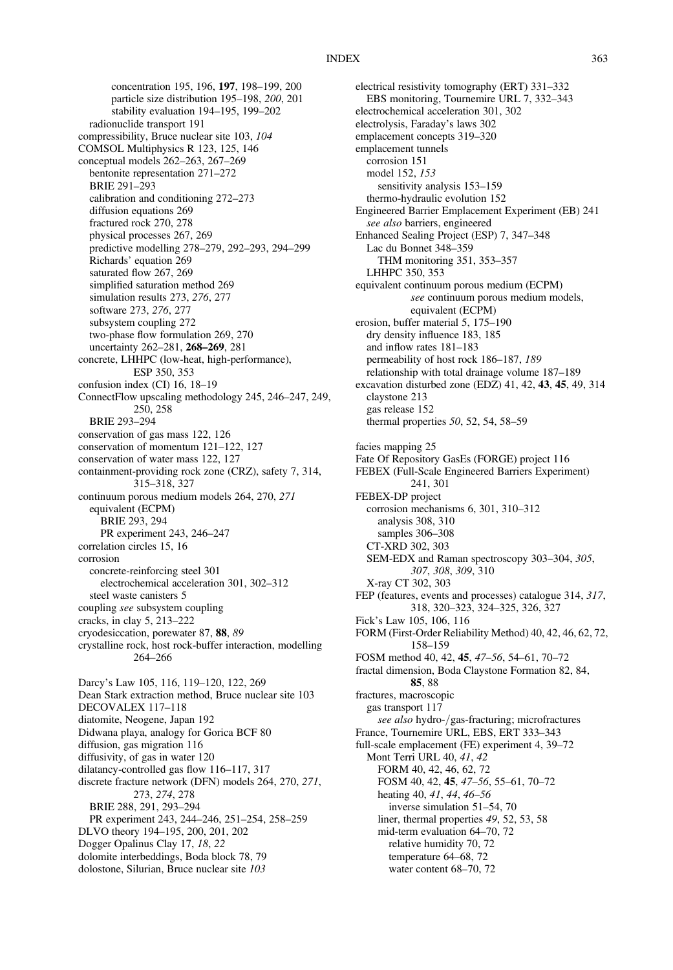concentration 195, 196, 197, 198–199, 200 particle size distribution 195–198, 200, 201 stability evaluation 194–195, 199–202 radionuclide transport 191 compressibility, Bruce nuclear site 103, 104 COMSOL Multiphysics R 123, 125, 146 conceptual models 262–263, 267–269 bentonite representation 271–272 BRIE 291–293 calibration and conditioning 272–273 diffusion equations 269 fractured rock 270, 278 physical processes 267, 269 predictive modelling 278–279, 292–293, 294–299 Richards' equation 269 saturated flow 267, 269 simplified saturation method 269 simulation results 273, 276, 277 software 273, 276, 277 subsystem coupling 272 two-phase flow formulation 269, 270 uncertainty 262–281, 268–269, 281 concrete, LHHPC (low-heat, high-performance), ESP 350, 353 confusion index (CI) 16, 18–19 ConnectFlow upscaling methodology 245, 246–247, 249, 250, 258 BRIE 293–294 conservation of gas mass 122, 126 conservation of momentum 121–122, 127 conservation of water mass 122, 127 containment-providing rock zone (CRZ), safety 7, 314, 315–318, 327 continuum porous medium models 264, 270, 271 equivalent (ECPM) BRIE 293, 294 PR experiment 243, 246–247 correlation circles 15, 16 corrosion concrete-reinforcing steel 301 electrochemical acceleration 301, 302–312 steel waste canisters 5 coupling see subsystem coupling cracks, in clay 5, 213–222 cryodesiccation, porewater 87, 88, 89 crystalline rock, host rock-buffer interaction, modelling 264–266 Darcy's Law 105, 116, 119–120, 122, 269 Dean Stark extraction method, Bruce nuclear site 103 DECOVALEX 117–118 diatomite, Neogene, Japan 192 Didwana playa, analogy for Gorica BCF 80 diffusion, gas migration 116 diffusivity, of gas in water 120 dilatancy-controlled gas flow 116–117, 317 discrete fracture network (DFN) models 264, 270, 271, 273, 274, 278 BRIE 288, 291, 293–294 PR experiment 243, 244–246, 251–254, 258–259 DLVO theory 194–195, 200, 201, 202 Dogger Opalinus Clay 17, 18, 22 dolomite interbeddings, Boda block 78, 79 dolostone, Silurian, Bruce nuclear site 103

electrical resistivity tomography (ERT) 331–332 EBS monitoring, Tournemire URL 7, 332–343 electrochemical acceleration 301, 302 electrolysis, Faraday's laws 302 emplacement concepts 319–320 emplacement tunnels corrosion 151 model 152, 153 sensitivity analysis 153–159 thermo-hydraulic evolution 152 Engineered Barrier Emplacement Experiment (EB) 241 see also barriers, engineered Enhanced Sealing Project (ESP) 7, 347–348 Lac du Bonnet 348–359 THM monitoring 351, 353–357 LHHPC 350, 353 equivalent continuum porous medium (ECPM) see continuum porous medium models, equivalent (ECPM) erosion, buffer material 5, 175–190 dry density influence 183, 185 and inflow rates 181–183 permeability of host rock 186–187, 189 relationship with total drainage volume 187–189 excavation disturbed zone (EDZ) 41, 42, 43, 45, 49, 314 claystone 213 gas release 152 thermal properties 50, 52, 54, 58–59 facies mapping 25 Fate Of Repository GasEs (FORGE) project 116 FEBEX (Full-Scale Engineered Barriers Experiment) 241, 301 FEBEX-DP project corrosion mechanisms 6, 301, 310–312 analysis 308, 310 samples 306–308 CT-XRD 302, 303 SEM-EDX and Raman spectroscopy 303–304, 305, 307, 308, 309, 310 X-ray CT 302, 303 FEP (features, events and processes) catalogue 314, 317, 318, 320–323, 324–325, 326, 327 Fick's Law 105, 106, 116 FORM (First-Order Reliability Method) 40, 42, 46, 62, 72, 158–159 FOSM method 40, 42, 45, 47–56, 54–61, 70–72 fractal dimension, Boda Claystone Formation 82, 84, 85, 88 fractures, macroscopic gas transport 117 see also hydro-/gas-fracturing; microfractures France, Tournemire URL, EBS, ERT 333–343 full-scale emplacement (FE) experiment 4, 39–72 Mont Terri URL 40, 41, 42 FORM 40, 42, 46, 62, 72 FOSM 40, 42, 45, 47–56, 55–61, 70–72 heating 40, 41, 44, 46–56 inverse simulation 51–54, 70 liner, thermal properties 49, 52, 53, 58 mid-term evaluation 64–70, 72 relative humidity 70, 72 temperature 64–68, 72 water content 68–70, 72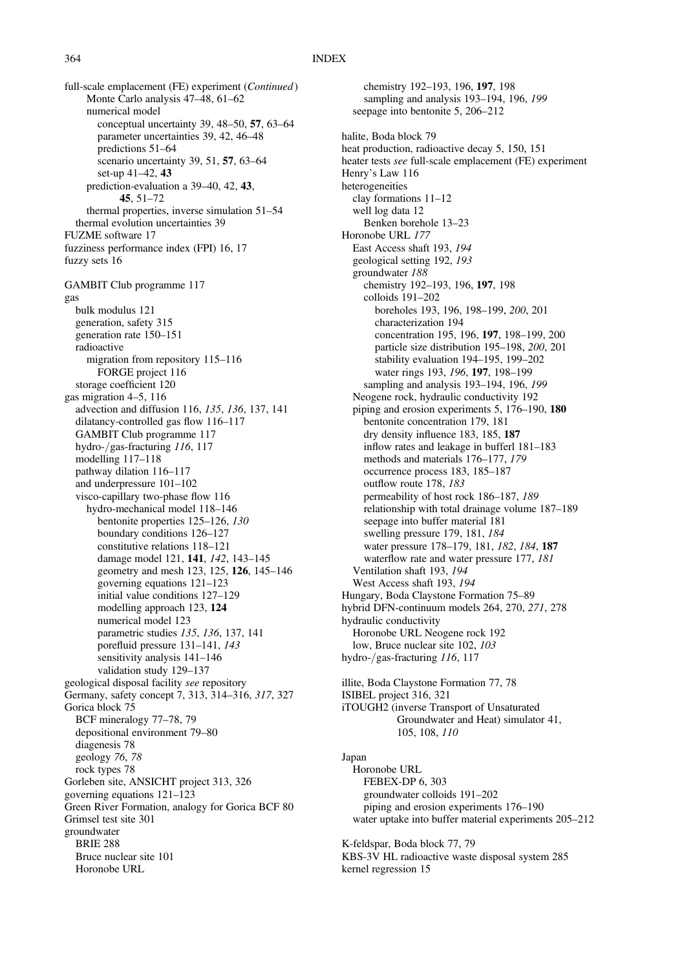full-scale emplacement (FE) experiment (Continued) Monte Carlo analysis 47–48, 61–62 numerical model conceptual uncertainty 39, 48–50, 57, 63–64 parameter uncertainties 39, 42, 46–48 predictions 51–64 scenario uncertainty 39, 51, 57, 63–64 set-up 41–42, 43 prediction-evaluation a 39–40, 42, 43, 45, 51–72 thermal properties, inverse simulation 51–54 thermal evolution uncertainties 39 FUZME software 17 fuzziness performance index (FPI) 16, 17 fuzzy sets 16 GAMBIT Club programme 117 gas bulk modulus 121 generation, safety 315 generation rate 150–151 radioactive migration from repository 115–116 FORGE project 116 storage coefficient 120 gas migration 4–5, 116 advection and diffusion 116, 135, 136, 137, 141 dilatancy-controlled gas flow 116–117 GAMBIT Club programme 117 hydro-/gas-fracturing 116, 117 modelling 117–118 pathway dilation 116–117 and underpressure 101–102 visco-capillary two-phase flow 116 hydro-mechanical model 118–146 bentonite properties 125–126, 130 boundary conditions 126–127 constitutive relations 118–121 damage model 121, 141, 142, 143–145 geometry and mesh 123, 125, 126, 145–146 governing equations 121–123 initial value conditions 127–129 modelling approach 123, 124 numerical model 123 parametric studies 135, 136, 137, 141 porefluid pressure 131–141, 143 sensitivity analysis 141–146 validation study 129–137 geological disposal facility see repository Germany, safety concept 7, 313, 314–316, 317, 327 Gorica block 75 BCF mineralogy 77–78, 79 depositional environment 79–80 diagenesis 78 geology 76, 78 rock types 78 Gorleben site, ANSICHT project 313, 326 governing equations 121–123 Green River Formation, analogy for Gorica BCF 80 Grimsel test site 301 groundwater BRIE 288 Bruce nuclear site 101 Horonobe URL

chemistry 192–193, 196, 197, 198 sampling and analysis 193-194, 196, 199 seepage into bentonite 5, 206–212 halite, Boda block 79 heat production, radioactive decay 5, 150, 151 heater tests see full-scale emplacement (FE) experiment Henry's Law 116 heterogeneities clay formations 11–12 well log data 12 Benken borehole 13–23 Horonobe URL 177 East Access shaft 193, 194 geological setting 192, 193 groundwater 188 chemistry 192–193, 196, 197, 198 colloids 191–202 boreholes 193, 196, 198–199, 200, 201 characterization 194 concentration 195, 196, 197, 198–199, 200 particle size distribution 195–198, 200, 201 stability evaluation 194–195, 199–202 water rings 193, 196, 197, 198–199 sampling and analysis 193-194, 196, 199 Neogene rock, hydraulic conductivity 192 piping and erosion experiments 5, 176–190, 180 bentonite concentration 179, 181 dry density influence 183, 185, 187 inflow rates and leakage in bufferl 181–183 methods and materials 176–177, 179 occurrence process 183, 185–187 outflow route 178, 183 permeability of host rock 186–187, 189 relationship with total drainage volume 187–189 seepage into buffer material 181 swelling pressure 179, 181, 184 water pressure 178–179, 181, 182, 184, 187 waterflow rate and water pressure 177, 181 Ventilation shaft 193, 194 West Access shaft 193, 194 Hungary, Boda Claystone Formation 75–89 hybrid DFN-continuum models 264, 270, 271, 278 hydraulic conductivity Horonobe URL Neogene rock 192 low, Bruce nuclear site 102, 103 hydro-/gas-fracturing 116, 117 illite, Boda Claystone Formation 77, 78 ISIBEL project 316, 321 iTOUGH2 (inverse Transport of Unsaturated Groundwater and Heat) simulator 41, 105, 108, 110 Japan Horonobe URL FEBEX-DP 6, 303 groundwater colloids 191–202

piping and erosion experiments 176–190 water uptake into buffer material experiments 205–212

K-feldspar, Boda block 77, 79 KBS-3V HL radioactive waste disposal system 285 kernel regression 15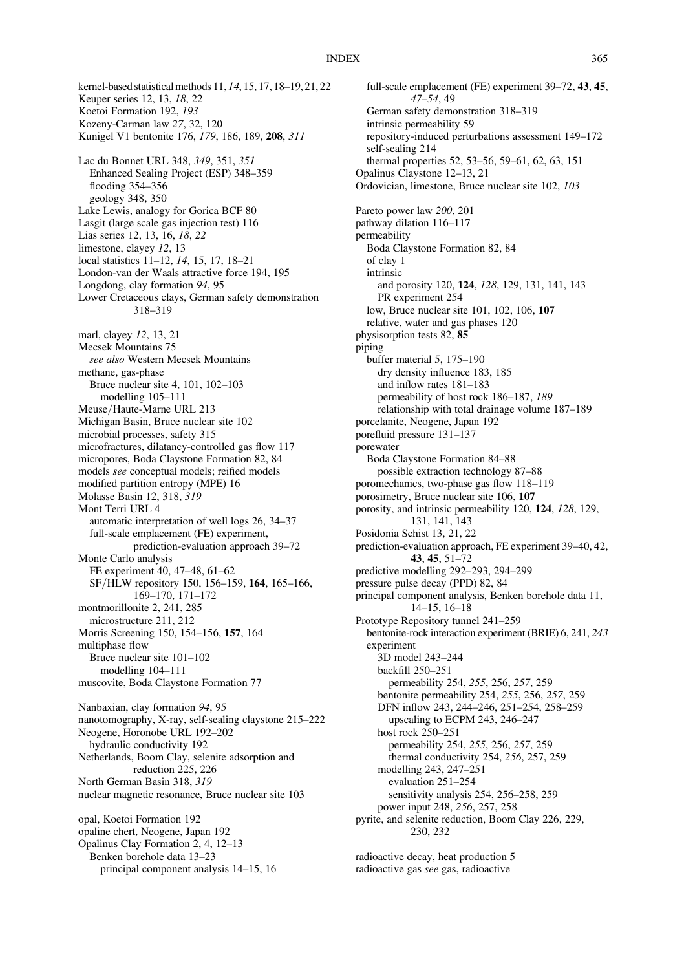## INDEX 365

kernel-based statistical methods 11, 14, 15, 17, 18–19, 21, 22 Keuper series 12, 13, 18, 22 Koetoi Formation 192, 193 Kozeny-Carman law 27, 32, 120 Kunigel V1 bentonite 176, 179, 186, 189, 208, 311 Lac du Bonnet URL 348, 349, 351, 351 Enhanced Sealing Project (ESP) 348–359 flooding 354–356 geology 348, 350 Lake Lewis, analogy for Gorica BCF 80 Lasgit (large scale gas injection test) 116 Lias series 12, 13, 16, 18, 22 limestone, clayey 12, 13 local statistics 11–12, 14, 15, 17, 18–21 London-van der Waals attractive force 194, 195 Longdong, clay formation 94, 95 Lower Cretaceous clays, German safety demonstration 318–319 marl, clayey 12, 13, 21 Mecsek Mountains 75 see also Western Mecsek Mountains methane, gas-phase Bruce nuclear site 4, 101, 102–103 modelling 105–111 Meuse/Haute-Marne URL 213 Michigan Basin, Bruce nuclear site 102 microbial processes, safety 315 microfractures, dilatancy-controlled gas flow 117 micropores, Boda Claystone Formation 82, 84 models see conceptual models; reified models modified partition entropy (MPE) 16 Molasse Basin 12, 318, 319 Mont Terri URL 4 automatic interpretation of well logs 26, 34–37 full-scale emplacement (FE) experiment, prediction-evaluation approach 39–72 Monte Carlo analysis FE experiment 40, 47–48, 61–62 SF/HLW repository 150, 156–159, 164, 165–166, 169–170, 171–172 montmorillonite 2, 241, 285 microstructure 211, 212 Morris Screening 150, 154–156, 157, 164 multiphase flow Bruce nuclear site 101–102 modelling 104–111 muscovite, Boda Claystone Formation 77 Nanbaxian, clay formation 94, 95 nanotomography, X-ray, self-sealing claystone 215–222 Neogene, Horonobe URL 192–202 hydraulic conductivity 192 Netherlands, Boom Clay, selenite adsorption and reduction 225, 226 North German Basin 318, 319 nuclear magnetic resonance, Bruce nuclear site 103 opal, Koetoi Formation 192 opaline chert, Neogene, Japan 192 Opalinus Clay Formation 2, 4, 12–13 Benken borehole data 13–23 principal component analysis 14–15, 16

full-scale emplacement (FE) experiment 39–72, 43, 45, 47–54, 49 German safety demonstration 318–319 intrinsic permeability 59 repository-induced perturbations assessment 149–172 self-sealing 214 thermal properties 52, 53–56, 59–61, 62, 63, 151 Opalinus Claystone 12–13, 21 Ordovician, limestone, Bruce nuclear site 102, 103 Pareto power law 200, 201 pathway dilation 116–117 permeability Boda Claystone Formation 82, 84 of clay 1 intrinsic and porosity 120, 124, 128, 129, 131, 141, 143 PR experiment 254 low, Bruce nuclear site 101, 102, 106, 107 relative, water and gas phases 120 physisorption tests 82, 85 piping buffer material 5, 175–190 dry density influence 183, 185 and inflow rates 181–183 permeability of host rock 186–187, 189 relationship with total drainage volume 187–189 porcelanite, Neogene, Japan 192 porefluid pressure 131–137 porewater Boda Claystone Formation 84–88 possible extraction technology 87–88 poromechanics, two-phase gas flow 118–119 porosimetry, Bruce nuclear site 106, 107 porosity, and intrinsic permeability 120, 124, 128, 129, 131, 141, 143 Posidonia Schist 13, 21, 22 prediction-evaluation approach, FE experiment 39–40, 42, 43, 45, 51–72 predictive modelling 292–293, 294–299 pressure pulse decay (PPD) 82, 84 principal component analysis, Benken borehole data 11, 14–15, 16–18 Prototype Repository tunnel 241–259 bentonite-rock interaction experiment (BRIE) 6, 241, 243 experiment 3D model 243–244 backfill 250–251 permeability 254, 255, 256, 257, 259 bentonite permeability 254, 255, 256, 257, 259 DFN inflow 243, 244–246, 251–254, 258–259 upscaling to ECPM 243, 246–247 host rock 250–251 permeability 254, 255, 256, 257, 259 thermal conductivity 254, 256, 257, 259 modelling 243, 247–251 evaluation 251–254 sensitivity analysis 254, 256–258, 259 power input 248, 256, 257, 258 pyrite, and selenite reduction, Boom Clay 226, 229, 230, 232

radioactive decay, heat production 5 radioactive gas see gas, radioactive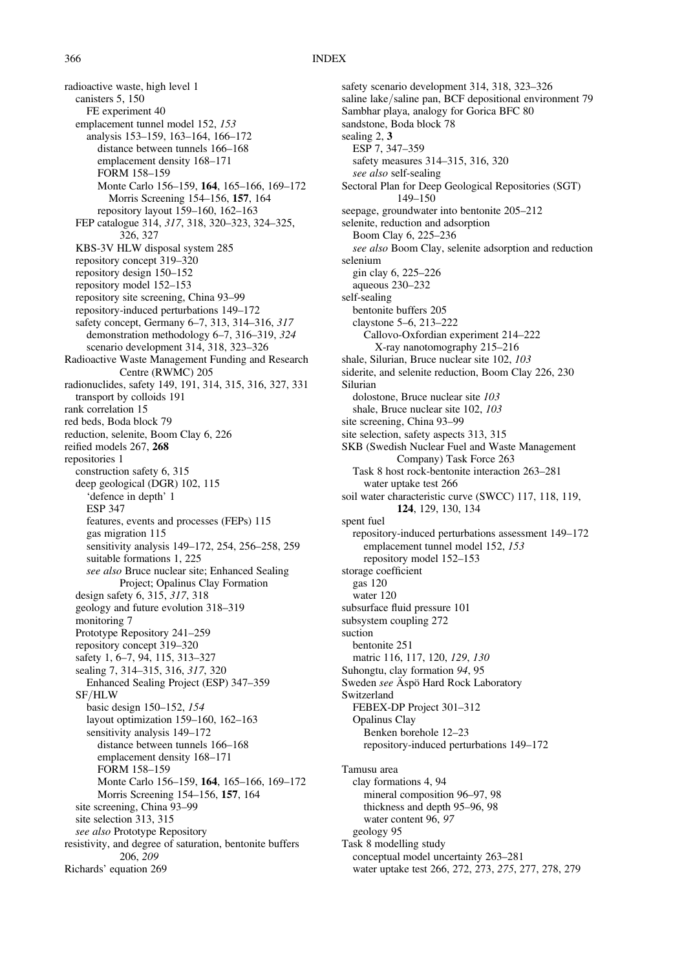## 366 INDEX

radioactive waste, high level 1 canisters 5, 150 FE experiment 40 emplacement tunnel model 152, 153 analysis 153–159, 163–164, 166–172 distance between tunnels 166–168 emplacement density 168–171 FORM 158–159 Monte Carlo 156–159, 164, 165–166, 169–172 Morris Screening 154–156, 157, 164 repository layout 159–160, 162–163 FEP catalogue 314, 317, 318, 320–323, 324–325, 326, 327 KBS-3V HLW disposal system 285 repository concept 319–320 repository design 150–152 repository model 152–153 repository site screening, China 93–99 repository-induced perturbations 149–172 safety concept, Germany 6–7, 313, 314–316, 317 demonstration methodology 6–7, 316–319, 324 scenario development 314, 318, 323–326 Radioactive Waste Management Funding and Research Centre (RWMC) 205 radionuclides, safety 149, 191, 314, 315, 316, 327, 331 transport by colloids 191 rank correlation 15 red beds, Boda block 79 reduction, selenite, Boom Clay 6, 226 reified models 267, 268 repositories 1 construction safety 6, 315 deep geological (DGR) 102, 115 'defence in depth' 1 ESP 347 features, events and processes (FEPs) 115 gas migration 115 sensitivity analysis 149–172, 254, 256–258, 259 suitable formations 1, 225 see also Bruce nuclear site; Enhanced Sealing Project; Opalinus Clay Formation design safety 6, 315, 317, 318 geology and future evolution 318–319 monitoring 7 Prototype Repository 241–259 repository concept 319–320 safety 1, 6–7, 94, 115, 313–327 sealing 7, 314–315, 316, 317, 320 Enhanced Sealing Project (ESP) 347–359 SF/HLW basic design 150–152, 154 layout optimization 159–160, 162–163 sensitivity analysis 149–172 distance between tunnels 166–168 emplacement density 168–171 FORM 158–159 Monte Carlo 156–159, 164, 165–166, 169–172 Morris Screening 154–156, 157, 164 site screening, China 93–99 site selection 313, 315 see also Prototype Repository resistivity, and degree of saturation, bentonite buffers 206, 209 Richards' equation 269

safety scenario development 314, 318, 323–326 saline lake/saline pan, BCF depositional environment 79 Sambhar playa, analogy for Gorica BFC 80 sandstone, Boda block 78 sealing 2, 3 ESP 7, 347–359 safety measures 314–315, 316, 320 see also self-sealing Sectoral Plan for Deep Geological Repositories (SGT) 149–150 seepage, groundwater into bentonite 205–212 selenite, reduction and adsorption Boom Clay 6, 225–236 see also Boom Clay, selenite adsorption and reduction selenium gin clay 6, 225–226 aqueous 230–232 self-sealing bentonite buffers 205 claystone 5–6, 213–222 Callovo-Oxfordian experiment 214–222 X-ray nanotomography 215–216 shale, Silurian, Bruce nuclear site 102, 103 siderite, and selenite reduction, Boom Clay 226, 230 Silurian dolostone, Bruce nuclear site 103 shale, Bruce nuclear site 102, 103 site screening, China 93–99 site selection, safety aspects 313, 315 SKB (Swedish Nuclear Fuel and Waste Management Company) Task Force 263 Task 8 host rock-bentonite interaction 263–281 water uptake test 266 soil water characteristic curve (SWCC) 117, 118, 119, 124, 129, 130, 134 spent fuel repository-induced perturbations assessment 149–172 emplacement tunnel model 152, 153 repository model 152–153 storage coefficient gas 120 water 120 subsurface fluid pressure 101 subsystem coupling 272 suction bentonite 251 matric 116, 117, 120, 129, 130 Suhongtu, clay formation 94, 95 Sweden see Äspö Hard Rock Laboratory Switzerland FEBEX-DP Project 301–312 Opalinus Clay Benken borehole 12–23 repository-induced perturbations 149–172 Tamusu area clay formations 4, 94 mineral composition 96–97, 98 thickness and depth 95–96, 98 water content 96, 97 geology 95 Task 8 modelling study conceptual model uncertainty 263–281

water uptake test 266, 272, 273, 275, 277, 278, 279